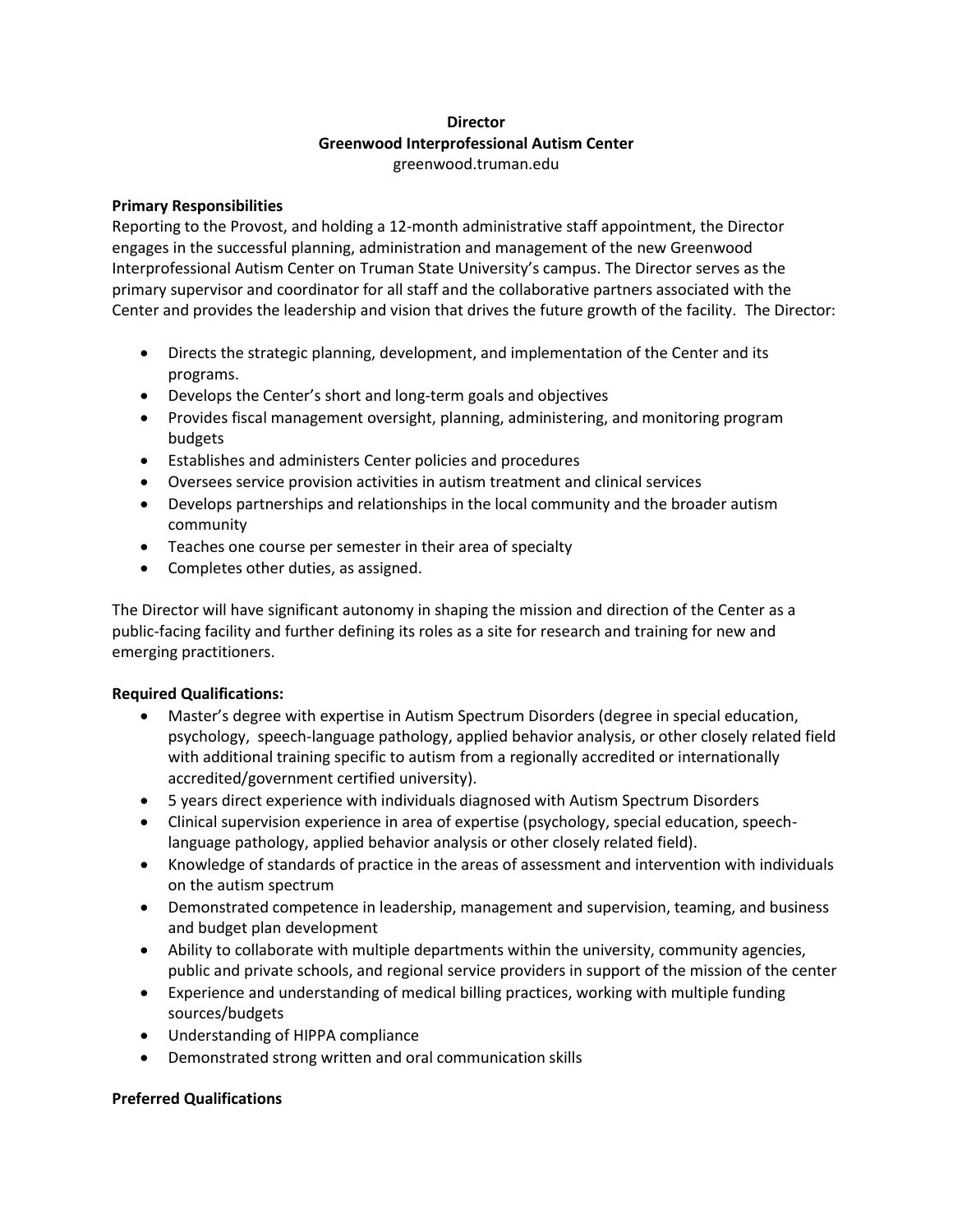## **Director Greenwood Interprofessional Autism Center** greenwood.truman.edu

### **Primary Responsibilities**

Reporting to the Provost, and holding a 12-month administrative staff appointment, the Director engages in the successful planning, administration and management of the new Greenwood Interprofessional Autism Center on Truman State University's campus. The Director serves as the primary supervisor and coordinator for all staff and the collaborative partners associated with the Center and provides the leadership and vision that drives the future growth of the facility. The Director:

- Directs the strategic planning, development, and implementation of the Center and its programs.
- Develops the Center's short and long-term goals and objectives
- Provides fiscal management oversight, planning, administering, and monitoring program budgets
- Establishes and administers Center policies and procedures
- Oversees service provision activities in autism treatment and clinical services
- Develops partnerships and relationships in the local community and the broader autism community
- Teaches one course per semester in their area of specialty
- Completes other duties, as assigned.

The Director will have significant autonomy in shaping the mission and direction of the Center as a public-facing facility and further defining its roles as a site for research and training for new and emerging practitioners.

# **Required Qualifications:**

- Master's degree with expertise in Autism Spectrum Disorders (degree in special education, psychology, speech-language pathology, applied behavior analysis, or other closely related field with additional training specific to autism from a regionally accredited or internationally accredited/government certified university).
- 5 years direct experience with individuals diagnosed with Autism Spectrum Disorders
- Clinical supervision experience in area of expertise (psychology, special education, speechlanguage pathology, applied behavior analysis or other closely related field).
- Knowledge of standards of practice in the areas of assessment and intervention with individuals on the autism spectrum
- Demonstrated competence in leadership, management and supervision, teaming, and business and budget plan development
- Ability to collaborate with multiple departments within the university, community agencies, public and private schools, and regional service providers in support of the mission of the center
- Experience and understanding of medical billing practices, working with multiple funding sources/budgets
- Understanding of HIPPA compliance
- Demonstrated strong written and oral communication skills

# **Preferred Qualifications**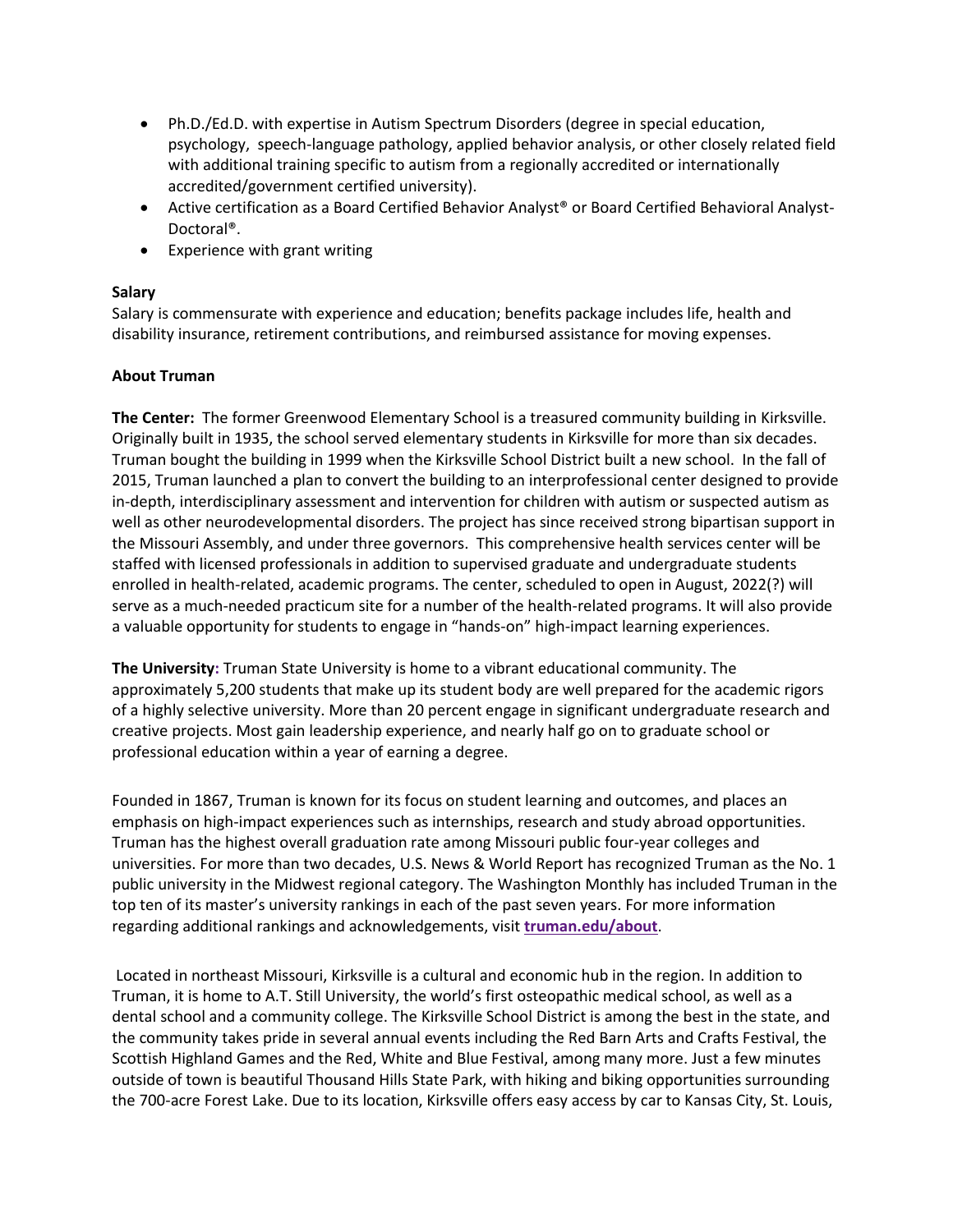- Ph.D./Ed.D. with expertise in Autism Spectrum Disorders (degree in special education, psychology, speech-language pathology, applied behavior analysis, or other closely related field with additional training specific to autism from a regionally accredited or internationally accredited/government certified university).
- Active certification as a Board Certified Behavior Analyst<sup>®</sup> or Board Certified Behavioral Analyst-Doctoral®.
- Experience with grant writing

#### **Salary**

Salary is commensurate with experience and education; benefits package includes life, health and disability insurance, retirement contributions, and reimbursed assistance for moving expenses.

#### **About Truman**

**The Center:** The former Greenwood Elementary School is a treasured community building in Kirksville. Originally built in 1935, the school served elementary students in Kirksville for more than six decades. Truman bought the building in 1999 when the Kirksville School District built a new school. In the fall of 2015, Truman launched a plan to convert the building to an interprofessional center designed to provide in-depth, interdisciplinary assessment and intervention for children with autism or suspected autism as well as other neurodevelopmental disorders. The project has since received strong bipartisan support in the Missouri Assembly, and under three governors. This comprehensive health services center will be staffed with licensed professionals in addition to supervised graduate and undergraduate students enrolled in health-related, academic programs. The center, scheduled to open in August, 2022(?) will serve as a much-needed practicum site for a number of the health-related programs. It will also provide a valuable opportunity for students to engage in "hands-on" high-impact learning experiences.

**The University:** Truman State University is home to a vibrant educational community. The approximately 5,200 students that make up its student body are well prepared for the academic rigors of a highly selective university. More than 20 percent engage in significant undergraduate research and creative projects. Most gain leadership experience, and nearly half go on to graduate school or professional education within a year of earning a degree.

Founded in 1867, Truman is known for its focus on student learning and outcomes, and places an emphasis on high-impact experiences such as internships, research and study abroad opportunities. Truman has the highest overall graduation rate among Missouri public four-year colleges and universities. For more than two decades, U.S. News & World Report has recognized Truman as the No. 1 public university in the Midwest regional category. The Washington Monthly has included Truman in the top ten of its master's university rankings in each of the past seven years. For more information regarding additional rankings and acknowledgements, visit **[truman.edu/about](http://truman.edu/about)**.

Located in northeast Missouri, Kirksville is a cultural and economic hub in the region. In addition to Truman, it is home to A.T. Still University, the world's first osteopathic medical school, as well as a dental school and a community college. The Kirksville School District is among the best in the state, and the community takes pride in several annual events including the Red Barn Arts and Crafts Festival, the Scottish Highland Games and the Red, White and Blue Festival, among many more. Just a few minutes outside of town is beautiful Thousand Hills State Park, with hiking and biking opportunities surrounding the 700-acre Forest Lake. Due to its location, Kirksville offers easy access by car to Kansas City, St. Louis,